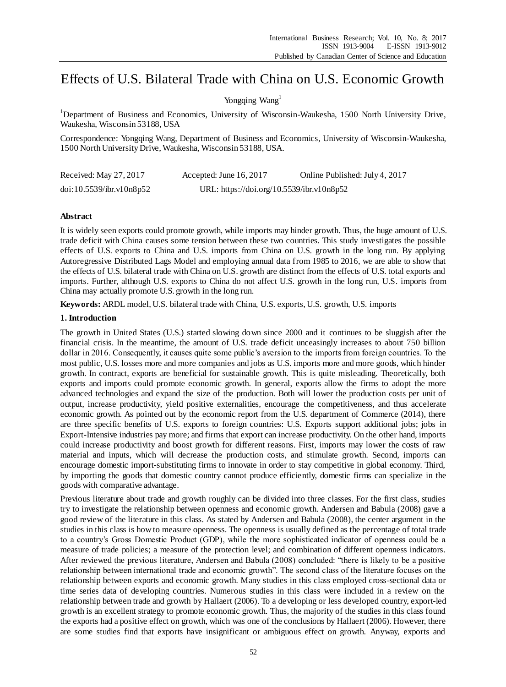# Effects of U.S. Bilateral Trade with China on U.S. Economic Growth

# Yongqing Wang<sup>1</sup>

<sup>1</sup>Department of Business and Economics, University of Wisconsin-Waukesha, 1500 North University Drive, Waukesha, Wisconsin 53188, USA

Correspondence: Yongqing Wang, Department of Business and Economics, University of Wisconsin-Waukesha, 1500 North University Drive, Waukesha, Wisconsin 53188, USA.

| Received: May 27, 2017   | Accepted: June 16, 2017                   | Online Published: July 4, 2017 |
|--------------------------|-------------------------------------------|--------------------------------|
| doi:10.5539/ibr.v10n8p52 | URL: https://doi.org/10.5539/ibr.v10n8p52 |                                |

## **Abstract**

It is widely seen exports could promote growth, while imports may hinder growth. Thus, the huge amount of U.S. trade deficit with China causes some tension between these two countries. This study investigates the possible effects of U.S. exports to China and U.S. imports from China on U.S. growth in the long run. By applying Autoregressive Distributed Lags Model and employing annual data from 1985 to 2016, we are able to show that the effects of U.S. bilateral trade with China on U.S. growth are distinct from the effects of U.S. total exports and imports. Further, although U.S. exports to China do not affect U.S. growth in the long run, U.S. imports from China may actually promote U.S. growth in the long run.

**Keywords:** ARDL model, U.S. bilateral trade with China, U.S. exports, U.S. growth, U.S. imports

## **1. Introduction**

The growth in United States (U.S.) started slowing down since 2000 and it continues to be sluggish after the financial crisis. In the meantime, the amount of U.S. trade deficit unceasingly increases to about 750 billion dollar in 2016. Consequently, it causes quite some public's aversion to the imports from foreign countries. To the most public, U.S. losses more and more companies and jobs as U.S. imports more and more goods, which hinder growth. In contract, exports are beneficial for sustainable growth. This is quite misleading. Theoretically, both exports and imports could promote economic growth. In general, exports allow the firms to adopt the more advanced technologies and expand the size of the production. Both will lower the production costs per unit of output, increase productivity, yield positive externalities, encourage the competitiveness, and thus accelerate economic growth. As pointed out by the economic report from the U.S. department of Commerce (2014), there are three specific benefits of U.S. exports to foreign countries: U.S. Exports support additional jobs; jobs in Export-Intensive industries pay more; and firms that export can increase productivity. On the other hand, imports could increase productivity and boost growth for different reasons. First, imports may lower the costs of raw material and inputs, which will decrease the production costs, and stimulate growth. Second, imports can encourage domestic import-substituting firms to innovate in order to stay competitive in global economy. Third, by importing the goods that domestic country cannot produce efficiently, domestic firms can specialize in the goods with comparative advantage.

Previous literature about trade and growth roughly can be divided into three classes. For the first class, studies try to investigate the relationship between openness and economic growth. Andersen and Babula (2008) gave a good review of the literature in this class. As stated by Andersen and Babula (2008), the center argument in the studies in this class is how to measure openness. The openness is usually defined as the percentage of total trade to a country's Gross Domestic Product (GDP), while the more sophisticated indicator of openness could be a measure of trade policies; a measure of the protection level; and combination of different openness indicators. After reviewed the previous literature, Andersen and Babula (2008) concluded: "there is likely to be a positive relationship between international trade and economic growth". The second class of the literature focuses on the relationship between exports and economic growth. Many studies in this class employed cross-sectional data or time series data of developing countries. Numerous studies in this class were included in a review on the relationship between trade and growth by Hallaert (2006). To a developing or less developed country, export-led growth is an excellent strategy to promote economic growth. Thus, the majority of the studies in this class found the exports had a positive effect on growth, which was one of the conclusions by Hallaert (2006). However, there are some studies find that exports have insignificant or ambiguous effect on growth. Anyway, exports and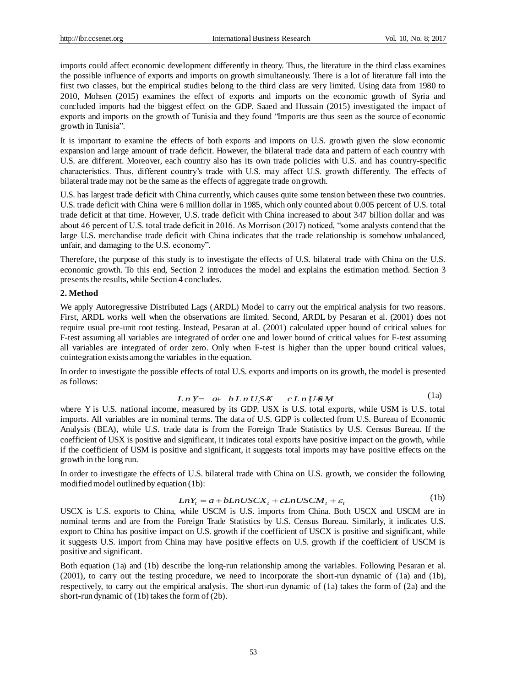imports could affect economic development differently in theory. Thus, the literature in the third class examines the possible influence of exports and imports on growth simultaneously. There is a lot of literature fall into the first two classes, but the empirical studies belong to the third class are very limited. Using data from 1980 to 2010, Mohsen (2015) examines the effect of exports and imports on the economic growth of Syria and concluded imports had the biggest effect on the GDP. Saaed and Hussain (2015) investigated the impact of exports and imports on the growth of Tunisia and they found "Imports are thus seen as the source of economic growth in Tunisia".

It is important to examine the effects of both exports and imports on U.S. growth given the slow economic expansion and large amount of trade deficit. However, the bilateral trade data and pattern of each country with U.S. are different. Moreover, each country also has its own trade policies with U.S. and has country-specific characteristics. Thus, different country's trade with U.S. may affect U.S. growth differently. The effects of bilateral trade may not be the same as the effects of aggregate trade on growth.

U.S. has largest trade deficit with China currently, which causes quite some tension between these two countries. U.S. trade deficit with China were 6 million dollar in 1985, which only counted about 0.005 percent of U.S. total trade deficit at that time. However, U.S. trade deficit with China increased to about 347 billion dollar and was about 46 percent of U.S. total trade deficit in 2016. As Morrison (2017) noticed, "some analysts contend that the large U.S. merchandise trade deficit with China indicates that the trade relationship is somehow unbalanced, unfair, and damaging to the U.S. economy".

Therefore, the purpose of this study is to investigate the effects of U.S. bilateral trade with China on the U.S. economic growth. To this end, Section 2 introduces the model and explains the estimation method. Section 3 presents the results, while Section 4 concludes.

#### **2. Method**

We apply Autoregressive Distributed Lags (ARDL) Model to carry out the empirical analysis for two reasons. First, ARDL works well when the observations are limited. Second, ARDL by Pesaran et al. (2001) does not require usual pre-unit root testing. Instead, Pesaran at al. (2001) calculated upper bound of critical values for F-test assuming all variables are integrated of order one and lower bound of critical values for F-test assuming all variables are integrated of order zero. Only when F-test is higher than the upper bound critical values, cointegration exists among the variables in the equation.

In order to investigate the possible effects of total U.S. exports and imports on its growth, the model is presented as follows: as follows:<br> *LnY* = a+ bLnUSX cLnUSM<br>
where Y is U.S. national income, measured by its GDP. USX is U.S. total exports, while USM is U.S. total

$$
Ln Y = a + b Ln USX \quad c Ln USM \tag{1a}
$$

imports. All variables are in nominal terms. The data of U.S. GDP is collected from U.S. Bureau of Economic Analysis (BEA), while U.S. trade data is from the Foreign Trade Statistics by U.S. Census Bureau. If the coefficient of USX is positive and significant, it indicates total exports have positive impact on the growth, while if the coefficient of USM is positive and significant, it suggests total imports may have positive effects on the growth in the long run.

In order to investigate the effects of U.S. bilateral trade with China on U.S. growth, we consider the following modified model outlined by equation (1b): *LnY<sub>t</sub>* =  $a + bLnUSCX$ ,  $+ cLnUSCM$ ,  $+ \varepsilon$ , (1b)<br>USCX is U.S. exports to China, while USCM is U.S. imports from China. Both USCX and USCM are in

$$
LnY_t = a + bLnUSCX_t + cLnUSCM_t + \varepsilon_t
$$
\n(1b)

nominal terms and are from the Foreign Trade Statistics by U.S. Census Bureau. Similarly, it indicates U.S. export to China has positive impact on U.S. growth if the coefficient of USCX is positive and significant, while it suggests U.S. import from China may have positive effects on U.S. growth if the coefficient of USCM is positive and significant.

Both equation (1a) and (1b) describe the long-run relationship among the variables. Following Pesaran et al. (2001), to carry out the testing procedure, we need to incorporate the short-run dynamic of (1a) and (1b), respectively, to carry out the empirical analysis. The short-run dynamic of (1a) takes the form of (2a) and the short-run dynamic of (1b) takes the form of (2b).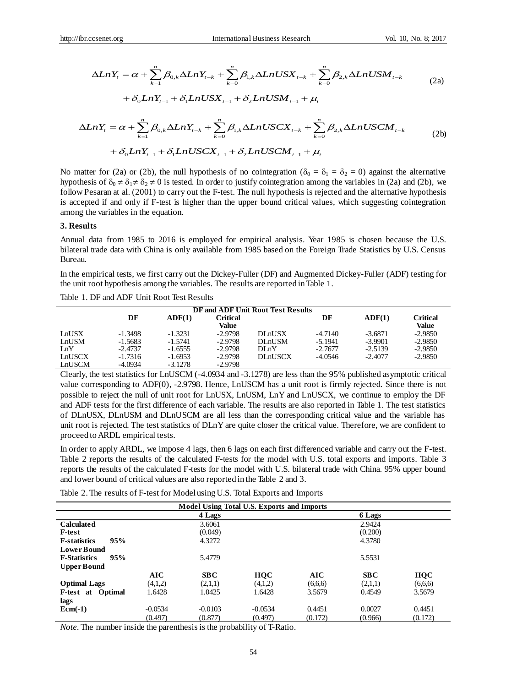ccsenet.org  
\nInternational Business Research  
\nVol. 10, No. 8; 2017  
\n
$$
\Delta LnY_{t} = \alpha + \sum_{k=1}^{n} \beta_{0,k} \Delta LnY_{t-k} + \sum_{k=0}^{n} \beta_{1,k} \Delta LnUSX_{t-k} + \sum_{k=0}^{n} \beta_{2,k} \Delta LnUSM_{t-k}
$$
\n
$$
+ \delta_{0} LnY_{t-1} + \delta_{1} LnUSX_{t-1} + \delta_{2} LnUSM_{t-1} + \mu_{t}
$$
\n(2a)

$$
+\delta_0 LnY_{t-1} + \delta_1 LnUSX_{t-1} + \delta_2 LnUSM_{t-1} + \mu_t
$$

$$
\Delta LnY_{t} = \alpha + \sum_{k=1}^{n} \beta_{0,k} \Delta LnY_{t-k} + \sum_{k=0}^{n} \beta_{1,k} \Delta LnUSX_{t-k} + \sum_{k=0}^{n} \beta_{2,k} \Delta LnUSM_{t-k}
$$
\n
$$
+ \delta_{0} LnY_{t-1} + \delta_{1} LnUSX_{t-1} + \delta_{2} LnUSM_{t-1} + \mu_{t}
$$
\n
$$
\Delta LnY_{t} = \alpha + \sum_{k=1}^{n} \beta_{0,k} \Delta LnY_{t-k} + \sum_{k=0}^{n} \beta_{1,k} \Delta LnUSCX_{t-k} + \sum_{k=0}^{n} \beta_{2,k} \Delta LnUSCM_{t-k}
$$
\n
$$
+ \delta_{0} LnY_{t-1} + \delta_{1} LnUSCX_{t-1} + \delta_{2} LnUSCM_{t-1} + \mu_{t}
$$
\n(2b)

No matter for (2a) or (2b), the null hypothesis of no cointegration ( $\delta_0 = \delta_1 = \delta_2 = 0$ ) against the alternative hypothesis of  $\delta_0 \neq \delta_1 \neq \delta_2 \neq 0$  is tested. In order to justify cointegration among the variables in (2a) and (2b), we follow Pesaran at al. (2001) to carry out the F-test. The null hypothesis is rejected and the alternative hypothesis is accepted if and only if F-test is higher than the upper bound critical values, which suggesting cointegration among the variables in the equation.

#### **3. Results**

Annual data from 1985 to 2016 is employed for empirical analysis. Year 1985 is chosen because the U.S. bilateral trade data with China is only available from 1985 based on the Foreign Trade Statistics by U.S. Census Bureau.

In the empirical tests, we first carry out the Dickey-Fuller (DF) and Augmented Dickey-Fuller (ADF) testing for the unit root hypothesis among the variables. The results are reported in Table 1.

| DF and ADF Unit Root Test Results |           |           |           |                |           |           |           |
|-----------------------------------|-----------|-----------|-----------|----------------|-----------|-----------|-----------|
|                                   | DF        | ADF(1)    | Critical  |                | DF        | ADF(1)    | Critical  |
|                                   |           |           | Value     |                |           |           | Value     |
| LnUSX                             | $-1.3498$ | $-1.3231$ | $-2.9798$ | <b>DLnUSX</b>  | $-4.7140$ | $-3.6871$ | $-2.9850$ |
| LnUSM                             | $-1.5683$ | $-1.5741$ | $-2.9798$ | <b>DLnUSM</b>  | $-5.1941$ | $-3.9901$ | $-2.9850$ |
| LnY                               | $-2.4737$ | $-1.6555$ | $-2.9798$ | $DI_nY$        | $-2.7677$ | $-2.5139$ | $-2.9850$ |
| LnUSCX                            | $-1.7316$ | $-1.6953$ | $-2.9798$ | <b>DLnUSCX</b> | $-4.0546$ | $-2.4077$ | $-2.9850$ |
| LnUSCM                            | $-4.0934$ | $-3.1278$ | $-2.9798$ |                |           |           |           |

Table 1. DF and ADF Unit Root Test Results

Clearly, the test statistics for LnUSCM (-4.0934 and -3.1278) are less than the 95% published asymptotic critical value corresponding to ADF(0), -2.9798. Hence, LnUSCM has a unit root is firmly rejected. Since there is not possible to reject the null of unit root for LnUSX, LnUSM, LnY and LnUSCX, we continue to employ the DF and ADF tests for the first difference of each variable. The results are also reported in Table 1. The test statistics of DLnUSX, DLnUSM and DLnUSCM are all less than the corresponding critical value and the variable has unit root is rejected. The test statistics of DLnY are quite closer the critical value. Therefore, we are confident to proceed to ARDL empirical tests.

In order to apply ARDL, we impose 4 lags, then 6 lags on each first differenced variable and carry out the F-test. Table 2 reports the results of the calculated F-tests for the model with U.S. total exports and imports. Table 3 reports the results of the calculated F-tests for the model with U.S. bilateral trade with China. 95% upper bound and lower bound of critical values are also reported in the Table 2 and 3.

Table 2. The results of F-test for Model using U.S. Total Exports and Imports

| Model Using Total U.S. Exports and Imports |           |           |            |         |         |            |  |
|--------------------------------------------|-----------|-----------|------------|---------|---------|------------|--|
|                                            |           | 4 Lags    |            |         | 6 Lags  |            |  |
| <b>Calculated</b>                          |           | 3.6061    |            |         | 2.9424  |            |  |
| <b>F-test</b>                              |           | (0.049)   |            |         | (0.200) |            |  |
| 95%<br><b>F-statistics</b>                 |           | 4.3272    |            |         | 4.3780  |            |  |
| <b>Lower Bound</b>                         |           |           |            |         |         |            |  |
| 95%<br><b>F-Statistics</b>                 |           | 5.4779    |            |         | 5.5531  |            |  |
| <b>Upper Bound</b>                         |           |           |            |         |         |            |  |
|                                            | AIC       | SBC       | <b>HQC</b> | AIC     | SBC     | <b>HQC</b> |  |
| <b>Optimal Lags</b>                        | (4,1,2)   | (2,1,1)   | (4,1,2)    | (6,6,6) | (2,1,1) | (6,6,6)    |  |
| <b>F-test at Optimal</b>                   | 1.6428    | 1.0425    | 1.6428     | 3.5679  | 0.4549  | 3.5679     |  |
| lags                                       |           |           |            |         |         |            |  |
| $Ecm(-1)$                                  | $-0.0534$ | $-0.0103$ | $-0.0534$  | 0.4451  | 0.0027  | 0.4451     |  |
|                                            | (0.497)   | (0.877)   | (0.497)    | (0.172) | (0.966) | (0.172)    |  |

*Note.* The number inside the parenthesis is the probability of T-Ratio.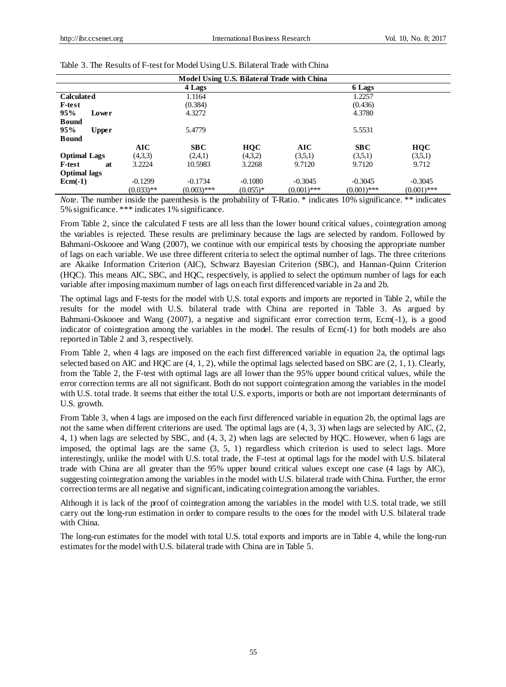| Model Using U.S. Bilateral Trade with China |              |               |            |               |               |               |  |  |  |
|---------------------------------------------|--------------|---------------|------------|---------------|---------------|---------------|--|--|--|
|                                             |              | 4 Lags        |            |               | 6 Lags        |               |  |  |  |
| <b>Calculated</b>                           |              | 1.1164        |            |               | 1.2257        |               |  |  |  |
| <b>F-test</b>                               |              | (0.384)       |            |               | (0.436)       |               |  |  |  |
| 95%<br>Lower                                |              | 4.3272        |            |               | 4.3780        |               |  |  |  |
| <b>Bound</b><br>95%<br><b>Upper</b>         |              | 5.4779        |            |               | 5.5531        |               |  |  |  |
| <b>Bound</b>                                |              |               |            |               |               |               |  |  |  |
|                                             | <b>AIC</b>   | SBC           | <b>HQC</b> | AIC           | SBC           | <b>HQC</b>    |  |  |  |
| <b>Optimal Lags</b>                         | (4,3,3)      | (2,4,1)       | (4,3,2)    | (3,5,1)       | (3,5,1)       | (3,5,1)       |  |  |  |
| <b>F-test</b><br>at                         | 3.2224       | 10.5983       | 3.2268     | 9.7120        | 9.7120        | 9.712         |  |  |  |
| <b>Optimal lags</b>                         |              |               |            |               |               |               |  |  |  |
| $Ecm(-1)$                                   | $-0.1299$    | $-0.1734$     | $-0.1080$  | $-0.3045$     | $-0.3045$     | $-0.3045$     |  |  |  |
|                                             | $(0.033)$ ** | $(0.003)$ *** | $(0.055)*$ | $(0.001)$ *** | $(0.001)$ *** | $(0.001)$ *** |  |  |  |

*Note.* The number inside the parenthesis is the probability of T-Ratio. \* indicates 10% significance. \*\* indicates 5% significance. \*\*\* indicates 1% significance.

From Table 2, since the calculated F tests are all less than the lower bound critical values, cointegration among the variables is rejected. These results are preliminary because the lags are selected by random. Followed by Bahmani-Oskooee and Wang (2007), we continue with our empirical tests by choosing the appropriate number of lags on each variable. We use three different criteria to select the optimal number of lags. The three criterions are Akaike Information Criterion (AIC), Schwarz Bayesian Criterion (SBC), and Hannan-Quinn Criterion (HQC). This means AIC, SBC, and HQC, respectively, is applied to select the optimum number of lags for each variable after imposing maximum number of lags on each first differenced variable in 2a and 2b.

The optimal lags and F-tests for the model with U.S. total exports and imports are reported in Table 2, while the results for the model with U.S. bilateral trade with China are reported in Table 3. As argued by Bahmani-Oskooee and Wang (2007), a negative and significant error correction term, Ecm(-1), is a good indicator of cointegration among the variables in the model. The results of Ecm(-1) for both models are also reported in Table 2 and 3, respectively.

From Table 2, when 4 lags are imposed on the each first differenced variable in equation 2a, the optimal lags selected based on AIC and HQC are  $(4, 1, 2)$ , while the optimal lags selected based on SBC are  $(2, 1, 1)$ . Clearly, from the Table 2, the F-test with optimal lags are all lower than the 95% upper bound critical values, while the error correction terms are all not significant. Both do not support cointegration among the variables in the model with U.S. total trade. It seems that either the total U.S. exports, imports or both are not important determinants of U.S. growth.

From Table 3, when 4 lags are imposed on the each first differenced variable in equation 2b, the optimal lags are not the same when different criterions are used. The optimal lags are (4, 3, 3) when lags are selected by AIC, (2, 4, 1) when lags are selected by SBC, and (4, 3, 2) when lags are selected by HQC. However, when 6 lags are imposed, the optimal lags are the same (3, 5, 1) regardless which criterion is used to select lags. More interestingly, unlike the model with U.S. total trade, the F-test at optimal lags for the model with U.S. bilateral trade with China are all greater than the 95% upper bound critical values except one case (4 lags by AIC), suggesting cointegration among the variables in the model with U.S. bilateral trade with China. Further, the error correction terms are all negative and significant, indicating cointegration among the variables.

Although it is lack of the proof of cointegration among the variables in the model with U.S. total trade, we still carry out the long-run estimation in order to compare results to the ones for the model with U.S. bilateral trade with China.

The long-run estimates for the model with total U.S. total exports and imports are in Table 4, while the long-run estimates for the model with U.S. bilateral trade with China are in Table 5.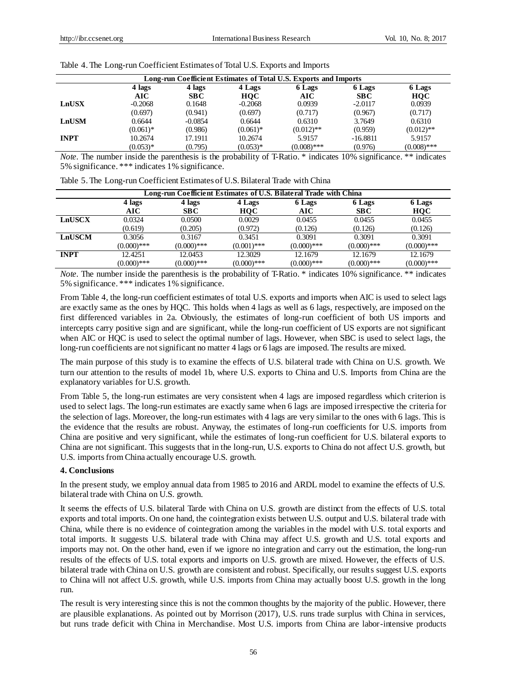| Long-run Coefficient Estimates of Total U.S. Exports and Imports |                                                |            |             |               |            |               |  |
|------------------------------------------------------------------|------------------------------------------------|------------|-------------|---------------|------------|---------------|--|
|                                                                  | 4 lags<br>4 lags<br>4 Lags<br>6 Lags<br>6 Lags |            |             |               |            | 6 Lags        |  |
|                                                                  | AIC                                            | <b>SBC</b> | HOC         | AIC           | SBC        | <b>HOC</b>    |  |
| LnUSX                                                            | $-0.2068$                                      | 0.1648     | $-0.2068$   | 0.0939        | $-2.0117$  | 0.0939        |  |
|                                                                  | (0.697)                                        | (0.941)    | (0.697)     | (0.717)       | (0.967)    | (0.717)       |  |
| <b>LnUSM</b>                                                     | 0.6644                                         | $-0.0854$  | 0.6644      | 0.6310        | 3.7649     | 0.6310        |  |
|                                                                  | $(0.061)$ *                                    | (0.986)    | $(0.061)$ * | $(0.012)$ **  | (0.959)    | $(0.012)$ **  |  |
| <b>INPT</b>                                                      | 10.2674                                        | 17.1911    | 10.2674     | 5.9157        | $-16.8811$ | 5.9157        |  |
|                                                                  | $(0.053)*$                                     | (0.795)    | $(0.053)*$  | $(0.008)$ *** | (0.976)    | $(0.008)$ *** |  |

Table 4. The Long-run Coefficient Estimates of Total U.S. Exports and Imports

*Note.* The number inside the parenthesis is the probability of T-Ratio. \* indicates 10% significance. \*\* indicates 5% significance. \*\*\* indicates 1% significance.

| Table 5. The Long-run Coefficient Estimates of U.S. Bilateral Trade with China |  |  |
|--------------------------------------------------------------------------------|--|--|
|                                                                                |  |  |

| Long-run Coefficient Estimates of U.S. Bilateral Trade with China |                                                |               |               |               |               |               |  |
|-------------------------------------------------------------------|------------------------------------------------|---------------|---------------|---------------|---------------|---------------|--|
|                                                                   | 4 lags<br>4 lags<br>4 Lags<br>6 Lags<br>6 Lags |               |               |               |               |               |  |
|                                                                   | AIC                                            | <b>SBC</b>    | HOC           | AIC           | <b>SBC</b>    | <b>HQC</b>    |  |
| LnUSCX                                                            | 0.0324                                         | 0.0500        | 0.0029        | 0.0455        | 0.0455        | 0.0455        |  |
|                                                                   | (0.619)                                        | (0.205)       | (0.972)       | (0.126)       | (0.126)       | (0.126)       |  |
| LnUSCM                                                            | 0.3056                                         | 0.3167        | 0.3451        | 0.3091        | 0.3091        | 0.3091        |  |
|                                                                   | $(0.000)$ ***                                  | $(0.000)$ *** | $(0.001)$ *** | $(0.000)$ *** | $(0.000)$ *** | $(0.000)$ *** |  |
| <b>INPT</b>                                                       | 12.4251                                        | 12.0453       | 12.3029       | 12.1679       | 12.1679       | 12.1679       |  |
|                                                                   | $(0.000)$ ***                                  | $(0.000)$ *** | $(0.000)$ *** | $(0.000)$ *** | $(0.000)$ *** | $(0.000)$ *** |  |

*Note.* The number inside the parenthesis is the probability of T-Ratio. \* indicates 10% significance. \*\* indicates 5% significance. \*\*\* indicates 1% significance.

From Table 4, the long-run coefficient estimates of total U.S. exports and imports when AIC is used to select lags are exactly same as the ones by HQC. This holds when 4 lags as well as 6 lags, respectively, are imposed on the first differenced variables in 2a. Obviously, the estimates of long-run coefficient of both US imports and intercepts carry positive sign and are significant, while the long-run coefficient of US exports are not significant when AIC or HQC is used to select the optimal number of lags. However, when SBC is used to select lags, the long-run coefficients are not significant no matter 4 lags or 6 lags are imposed. The results are mixed.

The main purpose of this study is to examine the effects of U.S. bilateral trade with China on U.S. growth. We turn our attention to the results of model 1b, where U.S. exports to China and U.S. Imports from China are the explanatory variables for U.S. growth.

From Table 5, the long-run estimates are very consistent when 4 lags are imposed regardless which criterion is used to select lags. The long-run estimates are exactly same when 6 lags are imposed irrespective the criteria for the selection of lags. Moreover, the long-run estimates with 4 lags are very similar to the ones with 6 lags. This is the evidence that the results are robust. Anyway, the estimates of long-run coefficients for U.S. imports from China are positive and very significant, while the estimates of long-run coefficient for U.S. bilateral exports to China are not significant. This suggests that in the long-run, U.S. exports to China do not affect U.S. growth, but U.S. imports from China actually encourage U.S. growth.

## **4. Conclusions**

In the present study, we employ annual data from 1985 to 2016 and ARDL model to examine the effects of U.S. bilateral trade with China on U.S. growth.

It seems the effects of U.S. bilateral Tarde with China on U.S. growth are distinct from the effects of U.S. total exports and total imports. On one hand, the cointegration exists between U.S. output and U.S. bilateral trade with China, while there is no evidence of cointegration among the variables in the model with U.S. total exports and total imports. It suggests U.S. bilateral trade with China may affect U.S. growth and U.S. total exports and imports may not. On the other hand, even if we ignore no integration and carry out the estimation, the long-run results of the effects of U.S. total exports and imports on U.S. growth are mixed. However, the effects of U.S. bilateral trade with China on U.S. growth are consistent and robust. Specifically, our results suggest U.S. exports to China will not affect U.S. growth, while U.S. imports from China may actually boost U.S. growth in the long run.

The result is very interesting since this is not the common thoughts by the majority of the public. However, there are plausible explanations. As pointed out by Morrison (2017), U.S. runs trade surplus with China in services, but runs trade deficit with China in Merchandise. Most U.S. imports from China are labor-intensive products